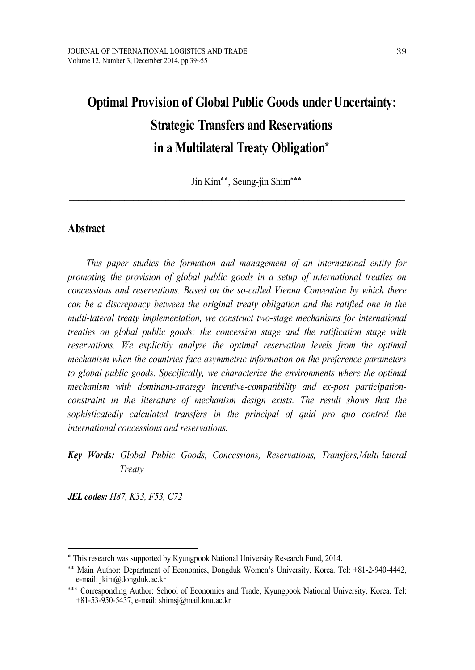# **Optimal Provision of Global Public Goods under Uncertainty: Strategic Transfers and Reservations in a Multilateral Treaty Obligation\***

Jin Kim\*\*, Seung-jin Shim\*\*\*

 $\_$  , and the state of the state of the state of the state of the state of the state of the state of the state of the state of the state of the state of the state of the state of the state of the state of the state of the

## **Abstract**

*This paper studies the formation and management of an international entity for promoting the provision of global public goods in a setup of international treaties on concessions and reservations. Based on the so-called Vienna Convention by which there can be a discrepancy between the original treaty obligation and the ratified one in the multi-lateral treaty implementation, we construct two-stage mechanisms for international treaties on global public goods; the concession stage and the ratification stage with reservations. We explicitly analyze the optimal reservation levels from the optimal mechanism when the countries face asymmetric information on the preference parameters to global public goods. Specifically, we characterize the environments where the optimal mechanism with dominant-strategy incentive-compatibility and ex-post participationconstraint in the literature of mechanism design exists. The result shows that the sophisticatedly calculated transfers in the principal of quid pro quo control the international concessions and reservations.*

# *Key Words: Global Public Goods, Concessions, Reservations, Transfers,Multi-lateral Treaty*

*JEL codes: H87, K33, F53, C72*

<sup>\*</sup> This research was supported by Kyungpook National University Research Fund, 2014.

<sup>\*\*</sup> Main Author: Department of Economics, Dongduk Women's University, Korea. Tel: +81-2-940-4442, e-mail: jkim@dongduk.ac.kr

<sup>\*\*\*</sup> Corresponding Author: School of Economics and Trade, Kyungpook National University, Korea. Tel: +81-53-950-5437, e-mail: shimsj@mail.knu.ac.kr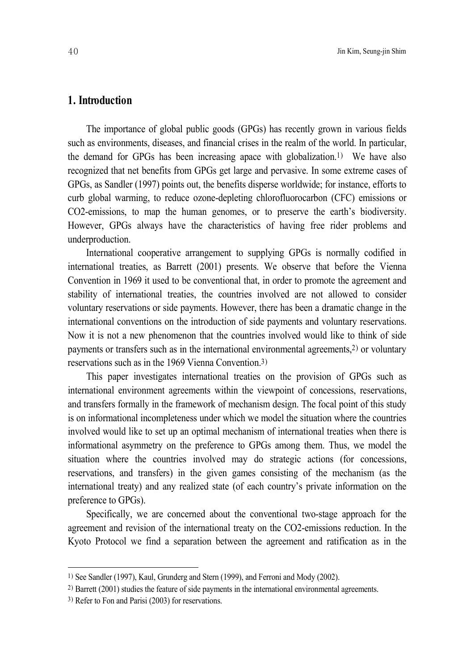## **1. Introduction**

The importance of global public goods (GPGs) has recently grown in various fields such as environments, diseases, and financial crises in the realm of the world. In particular, the demand for GPGs has been increasing apace with globalization. 1) We have also recognized that net benefits from GPGs get large and pervasive. In some extreme cases of GPGs, as Sandler (1997) points out, the benefits disperse worldwide; for instance, efforts to curb global warming, to reduce ozone-depleting chlorofluorocarbon (CFC) emissions or CO2-emissions, to map the human genomes, or to preserve the earth's biodiversity. However, GPGs always have the characteristics of having free rider problems and underproduction.

International cooperative arrangement to supplying GPGs is normally codified in international treaties, as Barrett (2001) presents. We observe that before the Vienna Convention in 1969 it used to be conventional that, in order to promote the agreement and stability of international treaties, the countries involved are not allowed to consider voluntary reservations or side payments. However, there has been a dramatic change in the international conventions on the introduction of side payments and voluntary reservations. Now it is not a new phenomenon that the countries involved would like to think of side payments or transfers such as in the international environmental agreements, 2) or voluntary reservations such as in the 1969 Vienna Convention. 3)

This paper investigates international treaties on the provision of GPGs such as international environment agreements within the viewpoint of concessions, reservations, and transfers formally in the framework of mechanism design. The focal point of this study is on informational incompleteness under which we model the situation where the countries involved would like to set up an optimal mechanism of international treaties when there is informational asymmetry on the preference to GPGs among them. Thus, we model the situation where the countries involved may do strategic actions (for concessions, reservations, and transfers) in the given games consisting of the mechanism (as the international treaty) and any realized state (of each country's private information on the preference to GPGs).

Specifically, we are concerned about the conventional two-stage approach for the agreement and revision of the international treaty on the CO2-emissions reduction. In the Kyoto Protocol we find a separation between the agreement and ratification as in the

<sup>1)</sup> See Sandler (1997), Kaul, Grunderg and Stern (1999), and Ferroni and Mody (2002).

<sup>2)</sup> Barrett (2001) studies the feature of side payments in the international environmental agreements.

<sup>3)</sup> Refer to Fon and Parisi (2003) for reservations.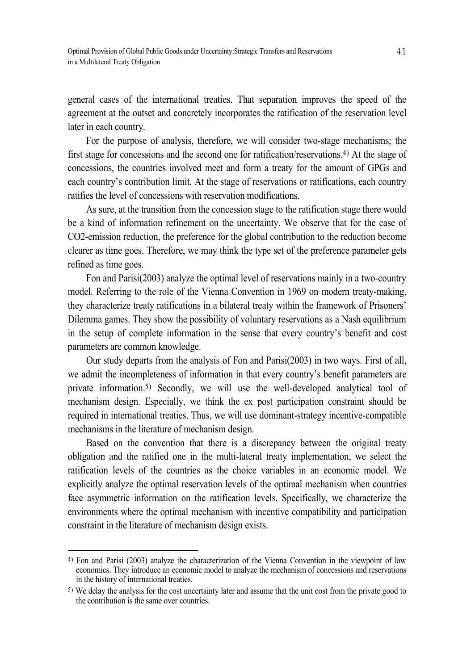general cases of the international treaties. That separation improves the speed of the agreement at the outset and concretely incorporates the ratification of the reservation level later in each country.

For the purpose of analysis, therefore, we will consider two-stage mechanisms; the first stage for concessions and the second one for ratification/reservations. 4) At the stage of concessions, the countries involved meet and form a treaty for the amount of GPGs and each country's contribution limit. At the stage of reservations or ratifications, each country ratifies the level of concessions with reservation modifications.

As sure, at the transition from the concession stage to the ratification stage there would be a kind of information refinement on the uncertainty. We observe that for the case of CO2-emission reduction, the preference for the global contribution to the reduction become clearer as time goes. Therefore, we may think the type set of the preference parameter gets refined as time goes.

Fon and Parisi(2003) analyze the optimal level of reservations mainly in a two-country model. Referring to the role of the Vienna Convention in 1969 on modern treaty-making, they characterize treaty ratifications in a bilateral treaty within the framework of Prisoners' Dilemma games. They show the possibility of voluntary reservations as a Nash equilibrium in the setup of complete information in the sense that every country's benefit and cost parameters are common knowledge.

Our study departs from the analysis of Fon and Parisi(2003) in two ways. First of all, we admit the incompleteness of information in that every country's benefit parameters are private information. 5) Secondly, we will use the well-developed analytical tool of mechanism design. Especially, we think the ex post participation constraint should be required in international treaties. Thus, we will use dominant-strategy incentive-compatible mechanisms in the literature of mechanism design.

Based on the convention that there is a discrepancy between the original treaty obligation and the ratified one in the multi-lateral treaty implementation, we select the ratification levels of the countries as the choice variables in an economic model. We explicitly analyze the optimal reservation levels of the optimal mechanism when countries face asymmetric information on the ratification levels. Specifically, we characterize the environments where the optimal mechanism with incentive compatibility and participation constraint in the literature of mechanism design exists.

<sup>4)</sup> Fon and Parisi (2003) analyze the characterization of the Vienna Convention in the viewpoint of law economics. They introduce an economic model to analyze the mechanism of concessions and reservations in the history of international treaties.

<sup>5)</sup> We delay the analysis for the cost uncertainty later and assume that the unit cost from the private good to the contribution is the same over countries.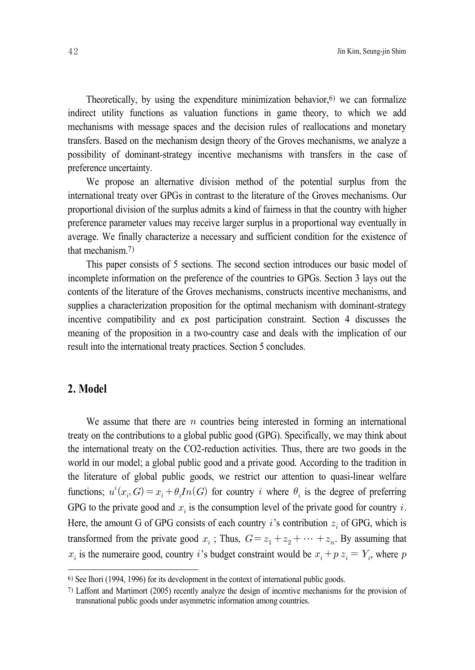Theoretically, by using the expenditure minimization behavior, 6) we can formalize indirect utility functions as valuation functions in game theory, to which we add mechanisms with message spaces and the decision rules of reallocations and monetary transfers. Based on the mechanism design theory of the Groves mechanisms, we analyze a possibility of dominant-strategy incentive mechanisms with transfers in the case of preference uncertainty.

We propose an alternative division method of the potential surplus from the international treaty over GPGs in contrast to the literature of the Groves mechanisms. Our proportional division of the surplus admits a kind of fairness in that the country with higher preference parameter values may receive larger surplus in a proportional way eventually in average. We finally characterize a necessary and sufficient condition for the existence of that mechanism. 7)

This paper consists of 5 sections. The second section introduces our basic model of incomplete information on the preference of the countries to GPGs. Section 3 lays out the contents of the literature of the Groves mechanisms, constructs incentive mechanisms, and supplies a characterization proposition for the optimal mechanism with dominant-strategy incentive compatibility and ex post participation constraint. Section 4 discusses the meaning of the proposition in a two-country case and deals with the implication of our result into the international treaty practices. Section 5 concludes.

## **2. Model**

We assume that there are  $n$  countries being interested in forming an international treaty on the contributions to a global public good (GPG). Specifically, we may think about the international treaty on the CO2-reduction activities. Thus, there are two goods in the world in our model; a global public good and a private good. According to the tradition in the literature of global public goods, we restrict our attention to quasi-linear welfare functions;  $u^i(x_i, G) = x_i + \theta_i In(G)$  for country *i* where  $\theta_i$  is the degree of preferring GPG to the private good and  $x_i$  is the consumption level of the private good for country i. Here, the amount G of GPG consists of each country  $i$ 's contribution  $z_i$  of GPG, which is transformed from the private good  $x_i$ ; Thus,  $G = z_1 + z_2 + \cdots + z_n$ . By assuming that  $x_i$  is the numeraire good, country *i*'s budget constraint would be  $x_i + p z_i = Y_i$ , where p

<sup>6)</sup> See Ihori (1994, 1996) for its development in the context of international public goods.

<sup>7)</sup> Laffont and Martimort (2005) recently analyze the design of incentive mechanisms for the provision of transnational public goods under asymmetric information among countries.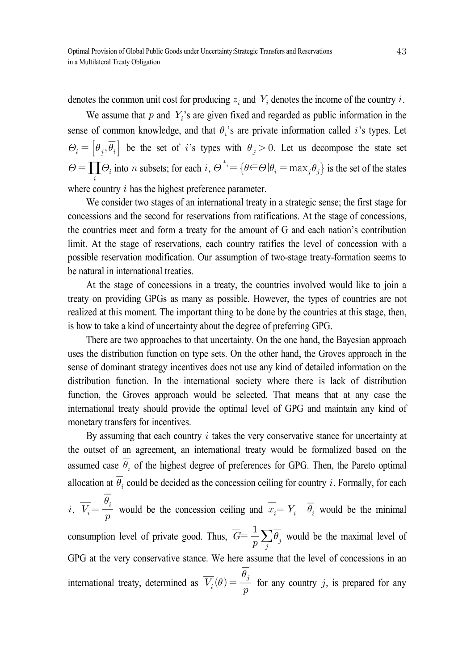denotes the common unit cost for producing  $z_i$  and  $Y_i$  denotes the income of the country i.

We assume that  $p$  and  $Y_i$ 's are given fixed and regarded as public information in the sense of common knowledge, and that  $\theta_i$ 's are private information called i's types. Let  $\Theta_i = \left[\theta_i, \overline{\theta_i}\right]$  be the set of i's types with  $\theta_i > 0$ . Let us decompose the state set  $\Theta = \prod_i \Theta_i$  into *n* subsets; for each  $i, \Theta^* = {\theta \in \Theta | \theta_i = \max_j \theta_j}$  is the set of the states where country  $i$  has the highest preference parameter.

We consider two stages of an international treaty in a strategic sense; the first stage for concessions and the second for reservations from ratifications. At the stage of concessions, the countries meet and form a treaty for the amount of G and each nation's contribution limit. At the stage of reservations, each country ratifies the level of concession with a possible reservation modification. Our assumption of two-stage treaty-formation seems to be natural in international treaties.

At the stage of concessions in a treaty, the countries involved would like to join a treaty on providing GPGs as many as possible. However, the types of countries are not realized at this moment. The important thing to be done by the countries at this stage, then, is how to take a kind of uncertainty about the degree of preferring GPG.

There are two approaches to that uncertainty. On the one hand, the Bayesian approach uses the distribution function on type sets. On the other hand, the Groves approach in the sense of dominant strategy incentives does not use any kind of detailed information on the distribution function. In the international society where there is lack of distribution function, the Groves approach would be selected. That means that at any case the international treaty should provide the optimal level of GPG and maintain any kind of monetary transfers for incentives.

By assuming that each country  $i$  takes the very conservative stance for uncertainty at the outset of an agreement, an international treaty would be formalized based on the assumed case  $\overline{\theta_i}$  of the highest degree of preferences for GPG. Then, the Pareto optimal allocation at  $\overline{\theta_i}$  could be decided as the concession ceiling for country i. Formally, for each  $i, \overline{V_i} = \frac{\overline{\theta_i}}{p}$  $\overline{\theta_i}$  would be the concession ceiling and  $\overline{x_i} = Y_i - \overline{\theta_i}$  would be the minimal consumption level of private good. Thus,  $\overline{G} = \frac{1}{p} \sum_{j} \overline{\theta_j}$  would be the maximal level of GPG at the very conservative stance. We here assume that the level of concessions in an international treaty, determined as  $\overline{V_i}(\theta) = \frac{\overline{\theta_j}}{p}$  $\frac{\overline{\theta_j}}{\theta_j}$  for any country j, is prepared for any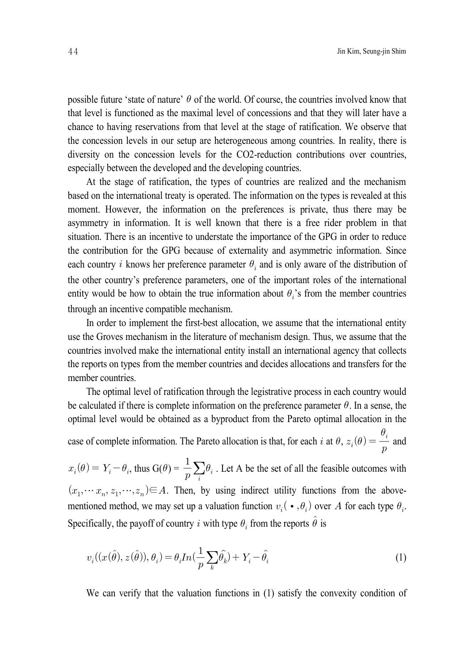possible future 'state of nature'  $\theta$  of the world. Of course, the countries involved know that that level is functioned as the maximal level of concessions and that they will later have a chance to having reservations from that level at the stage of ratification. We observe that the concession levels in our setup are heterogeneous among countries. In reality, there is diversity on the concession levels for the CO2-reduction contributions over countries, especially between the developed and the developing countries.

At the stage of ratification, the types of countries are realized and the mechanism based on the international treaty is operated. The information on the types is revealed at this moment. However, the information on the preferences is private, thus there may be asymmetry in information. It is well known that there is a free rider problem in that situation. There is an incentive to understate the importance of the GPG in order to reduce the contribution for the GPG because of externality and asymmetric information. Since each country *i* knows her preference parameter  $\theta_i$  and is only aware of the distribution of the other country's preference parameters, one of the important roles of the international entity would be how to obtain the true information about  $\theta_i$ 's from the member countries through an incentive compatible mechanism.

In order to implement the first-best allocation, we assume that the international entity use the Groves mechanism in the literature of mechanism design. Thus, we assume that the countries involved make the international entity install an international agency that collects the reports on types from the member countries and decides allocations and transfers for the member countries.

The optimal level of ratification through the legistrative process in each country would be calculated if there is complete information on the preference parameter  $\theta$ . In a sense, the optimal level would be obtained as a byproduct from the Pareto optimal allocation in the case of complete information. The Pareto allocation is that, for each *i* at  $\theta$ ,  $z_i(\theta) = \frac{\theta_i}{p}$  $\frac{\theta_i}{\ }$  and  $x_i(\theta) = Y_i - \theta_i$ , thus  $G(\theta) = \frac{1}{p} \sum_i \theta_i$ . Let A be the set of all the feasible outcomes with

 $(x_1, \dots, x_n, z_1, \dots, z_n) \in A$ . Then, by using indirect utility functions from the abovementioned method, we may set up a valuation function  $v_i(\cdot, \theta_i)$  over A for each type  $\theta_i$ . Specifically, the payoff of country i with type  $\theta_i$  from the reports  $\hat{\theta}$  is

$$
v_i((x(\hat{\theta}), z(\hat{\theta})), \theta_i) = \theta_i In(\frac{1}{p} \sum_k \hat{\theta_k}) + Y_i - \hat{\theta_i}
$$
\n(1)

We can verify that the valuation functions in (1) satisfy the convexity condition of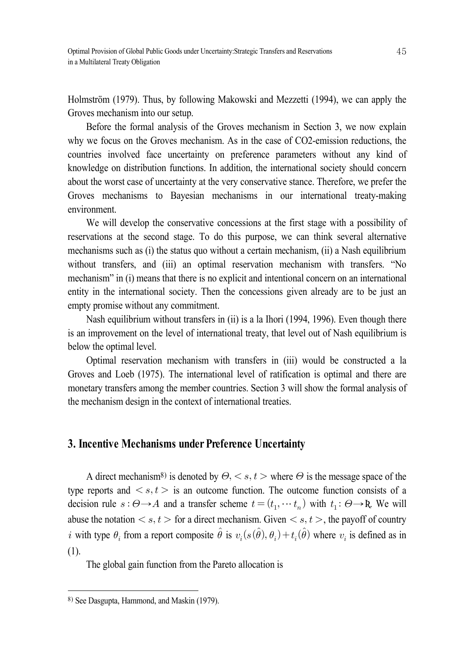Holmström (1979). Thus, by following Makowski and Mezzetti (1994), we can apply the Groves mechanism into our setup.

Before the formal analysis of the Groves mechanism in Section 3, we now explain why we focus on the Groves mechanism. As in the case of CO2-emission reductions, the countries involved face uncertainty on preference parameters without any kind of knowledge on distribution functions. In addition, the international society should concern about the worst case of uncertainty at the very conservative stance. Therefore, we prefer the Groves mechanisms to Bayesian mechanisms in our international treaty-making environment.

We will develop the conservative concessions at the first stage with a possibility of reservations at the second stage. To do this purpose, we can think several alternative mechanisms such as (i) the status quo without a certain mechanism, (ii) a Nash equilibrium without transfers, and (iii) an optimal reservation mechanism with transfers. "No mechanism" in (i) means that there is no explicit and intentional concern on an international entity in the international society. Then the concessions given already are to be just an empty promise without any commitment.

Nash equilibrium without transfers in (ii) is a la Ihori (1994, 1996). Even though there is an improvement on the level of international treaty, that level out of Nash equilibrium is below the optimal level.

Optimal reservation mechanism with transfers in (iii) would be constructed a la Groves and Loeb (1975). The international level of ratification is optimal and there are monetary transfers among the member countries. Section 3 will show the formal analysis of the mechanism design in the context of international treaties.

## **3. Incentive Mechanisms under Preference Uncertainty**

A direct mechanism<sup>8</sup>) is denoted by  $\Theta$ ,  $\lt s$ ,  $t$   $>$  where  $\Theta$  is the message space of the type reports and  $\langle s, t \rangle$  is an outcome function. The outcome function consists of a decision rule  $s: \Theta \to A$  and a transfer scheme  $t = (t_1, \dots, t_n)$  with  $t_1: \Theta \to \mathbb{R}$ . We will abuse the notation  $\langle s, t \rangle$  for a direct mechanism. Given  $\langle s, t \rangle$ , the payoff of country i with type  $\theta_i$  from a report composite  $\hat{\theta}$  is  $v_i(s(\hat{\theta}), \theta_i) + t_i(\hat{\theta})$  where  $v_i$  is defined as in (1).

The global gain function from the Pareto allocation is

<sup>8)</sup> See Dasgupta, Hammond, and Maskin (1979).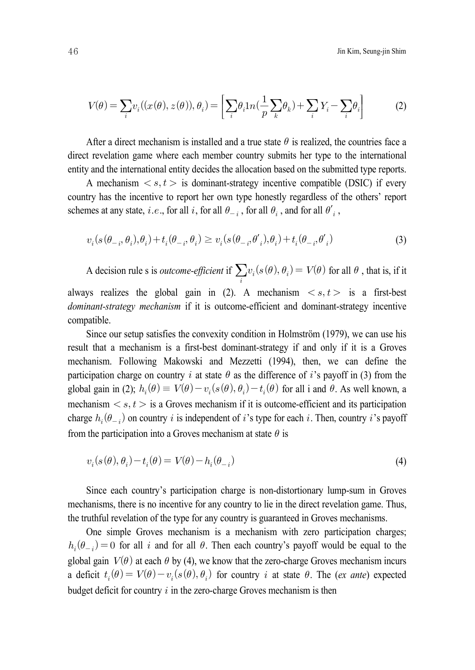$$
V(\theta) = \sum_{i} v_i((x(\theta), z(\theta)), \theta_i) = \left[ \sum_{i} \theta_i 1n(\frac{1}{p} \sum_{k} \theta_k) + \sum_{i} Y_i - \sum_{i} \theta_i \right]
$$
(2)

After a direct mechanism is installed and a true state  $\theta$  is realized, the countries face a direct revelation game where each member country submits her type to the international entity and the international entity decides the allocation based on the submitted type reports.

A mechanism  $\langle s, t \rangle$  is dominant-strategy incentive compatible (DSIC) if every country has the incentive to report her own type honestly regardless of the others' report schemes at any state, *i.e.*, for all *i*, for all  $\theta_{-i}$ , for all  $\theta_i$ , and for all  $\theta'_i$ ,

$$
v_i(s(\theta_{-i}, \theta_i), \theta_i) + t_i(\theta_{-i}, \theta_i) \ge v_i(s(\theta_{-i}, \theta'_i), \theta_i) + t_i(\theta_{-i}, \theta'_i)
$$
\n(3)

A decision rule s is *outcome-efficient* if  $\sum_i v_i(s(\theta), \theta_i) = V(\theta)$  for all  $\theta$ , that is, if it always realizes the global gain in (2). A mechanism  $\langle s, t \rangle$  is a first-best *dominant-strategy mechanism* if it is outcome-efficient and dominant-strategy incentive compatible.

Since our setup satisfies the convexity condition in Holmström (1979), we can use his result that a mechanism is a first-best dominant-strategy if and only if it is a Groves mechanism. Following Makowski and Mezzetti (1994), then, we can define the participation charge on country *i* at state  $\theta$  as the difference of *i*'s payoff in (3) from the global gain in (2);  $h_i(\theta) \equiv V(\theta) - v_i(s(\theta), \theta_i) - t_i(\theta)$  for all i and  $\theta$ . As well known, a mechanism  $\langle s, t \rangle$  is a Groves mechanism if it is outcome-efficient and its participation charge  $h_i(\theta_{-i})$  on country i is independent of i's type for each i. Then, country i's payoff from the participation into a Groves mechanism at state  $\theta$  is

$$
v_i(s(\theta), \theta_i) - t_i(\theta) = V(\theta) - h_i(\theta_{-i})
$$
\n<sup>(4)</sup>

Since each country's participation charge is non-distortionary lump-sum in Groves mechanisms, there is no incentive for any country to lie in the direct revelation game. Thus, the truthful revelation of the type for any country is guaranteed in Groves mechanisms.

One simple Groves mechanism is a mechanism with zero participation charges;  $h_i(\theta_{-i}) = 0$  for all i and for all  $\theta$ . Then each country's payoff would be equal to the global gain  $V(\theta)$  at each  $\theta$  by (4), we know that the zero-charge Groves mechanism incurs a deficit  $t_i(\theta) = V(\theta) - v_i(s(\theta), \theta_i)$  for country *i* at state  $\theta$ . The (*ex ante*) expected budget deficit for country  $i$  in the zero-charge Groves mechanism is then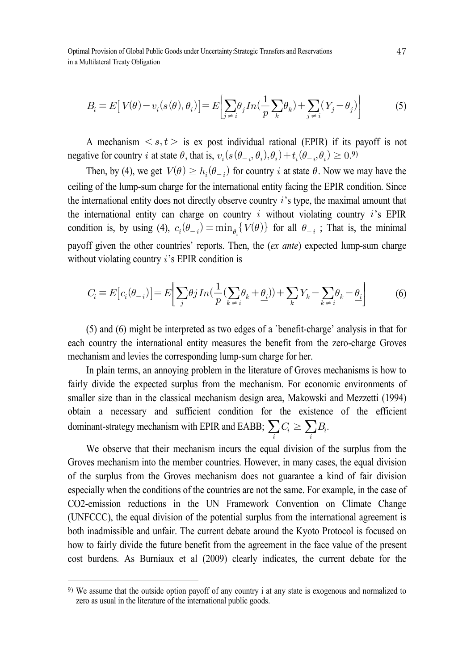Optimal Provision of Global Public Goods under Uncertainty:Strategic Transfers and Reservations in a Multilateral Treaty Obligation

$$
B_i \equiv E[V(\theta) - v_i(s(\theta), \theta_i)] = E\left[\sum_{j \neq i} \theta_j In(\frac{1}{p} \sum_k \theta_k) + \sum_{j \neq i} (Y_j - \theta_j)\right]
$$
(5)

A mechanism  $\langle s, t \rangle$  is ex post individual rational (EPIR) if its payoff is not negative for country *i* at state  $\theta$ , that is,  $v_i(s(\theta_{-i}, \theta_i), \theta_i) + t_i(\theta_{-i}, \theta_i) \ge 0.9$ 

Then, by (4), we get  $V(\theta) \ge h_i(\theta_{-i})$  for country *i* at state  $\theta$ . Now we may have the ceiling of the lump-sum charge for the international entity facing the EPIR condition. Since the international entity does not directly observe country  $i$ 's type, the maximal amount that the international entity can charge on country  $i$  without violating country  $i$ 's EPIR condition is, by using (4),  $c_i(\theta_{-i}) = \min_{\theta_i} \{ V(\theta) \}$  for all  $\theta_{-i}$ ; That is, the minimal payoff given the other countries' reports. Then, the (*ex ante*) expected lump-sum charge without violating country  $i$ 's EPIR condition is

$$
C_i = E[c_i(\theta_{-i})] = E\left[\sum_j \theta_j In(\frac{1}{p}(\sum_k \theta_k + \underline{\theta}_i)) + \sum_k Y_k - \sum_{k \neq i} \theta_k - \underline{\theta}_i\right]
$$
(6)

(5) and (6) might be interpreted as two edges of a `benefit-charge' analysis in that for each country the international entity measures the benefit from the zero-charge Groves mechanism and levies the corresponding lump-sum charge for her.

In plain terms, an annoying problem in the literature of Groves mechanisms is how to fairly divide the expected surplus from the mechanism. For economic environments of smaller size than in the classical mechanism design area, Makowski and Mezzetti (1994) obtain a necessary and sufficient condition for the existence of the efficient dominant-strategy mechanism with EPIR and EABB;  $\sum_i C_i \ge \sum_i B_i$ .

We observe that their mechanism incurs the equal division of the surplus from the Groves mechanism into the member countries. However, in many cases, the equal division of the surplus from the Groves mechanism does not guarantee a kind of fair division especially when the conditions of the countries are not the same. For example, in the case of CO2-emission reductions in the UN Framework Convention on Climate Change (UNFCCC), the equal division of the potential surplus from the international agreement is both inadmissible and unfair. The current debate around the Kyoto Protocol is focused on how to fairly divide the future benefit from the agreement in the face value of the present cost burdens. As Burniaux et al (2009) clearly indicates, the current debate for the

<sup>9)</sup> We assume that the outside option payoff of any country i at any state is exogenous and normalized to zero as usual in the literature of the international public goods.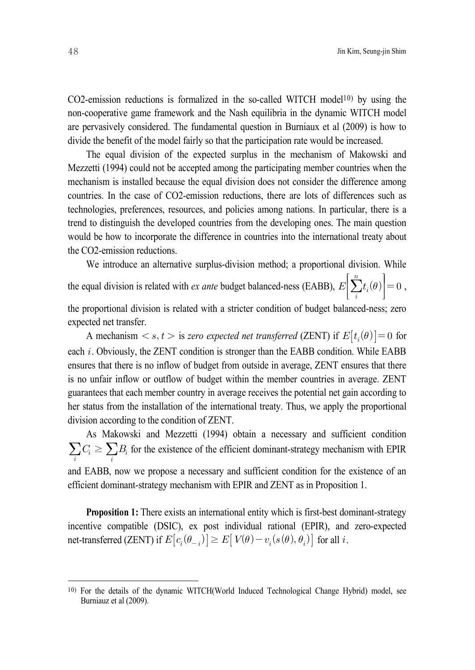$CO2$ -emission reductions is formalized in the so-called WITCH model<sup>10)</sup> by using the non-cooperative game framework and the Nash equilibria in the dynamic WITCH model are pervasively considered. The fundamental question in Burniaux et al (2009) is how to divide the benefit of the model fairly so that the participation rate would be increased.

The equal division of the expected surplus in the mechanism of Makowski and Mezzetti (1994) could not be accepted among the participating member countries when the mechanism is installed because the equal division does not consider the difference among countries. In the case of CO2-emission reductions, there are lots of differences such as technologies, preferences, resources, and policies among nations. In particular, there is a trend to distinguish the developed countries from the developing ones. The main question would be how to incorporate the difference in countries into the international treaty about the CO2-emission reductions.

We introduce an alternative surplus-division method; a proportional division. While

the equal division is related with *ex ante* budget balanced-ness (EABB),  $\int$  $\sum_i$  $\overline{n}$  $t_i(\theta)$ 1  $\rfloor$  $|=0,$ 

the proportional division is related with a stricter condition of budget balanced-ness; zero expected net transfer.

A mechanism  $\langle s, t \rangle$  is zero expected net transferred (ZENT) if  $E[t_i(\theta)] = 0$  for each  $i$ . Obviously, the ZENT condition is stronger than the EABB condition. While EABB ensures that there is no inflow of budget from outside in average, ZENT ensures that there is no unfair inflow or outflow of budget within the member countries in average. ZENT guarantees that each member country in average receives the potential net gain according to her status from the installation of the international treaty. Thus, we apply the proportional division according to the condition of ZENT.

As Makowski and Mezzetti (1994) obtain a necessary and sufficient condition  $\sum_i C_i \geq \sum_i B_i$  for the existence of the efficient dominant-strategy mechanism with EPIR and EABB, now we propose a necessary and sufficient condition for the existence of an efficient dominant-strategy mechanism with EPIR and ZENT as in Proposition 1.

**Proposition 1:** There exists an international entity which is first-best dominant-strategy incentive compatible (DSIC), ex post individual rational (EPIR), and zero-expected net-transferred (ZENT) if  $E[c_i(\theta_{-i})] \ge E[V(\theta) - v_i(s(\theta), \theta_i)]$  for all i.

<sup>10)</sup> For the details of the dynamic WITCH(World Induced Technological Change Hybrid) model, see Burniauz et al (2009).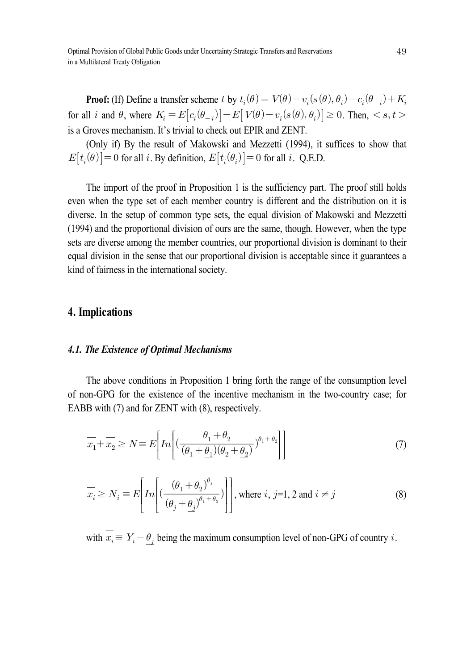Optimal Provision of Global Public Goods under Uncertainty:Strategic Transfers and Reservations in a Multilateral Treaty Obligation

**Proof:** (If) Define a transfer scheme t by  $t_i(\theta) = V(\theta) - v_i(s(\theta), \theta_i) - c_i(\theta_{-i}) + K_i$ for all i and  $\theta$ , where  $K_i = E[c_i(\theta_{-i})] - E[V(\theta) - v_i(s(\theta), \theta_i)] \ge 0$ . Then,  $\lt s, t$ is a Groves mechanism. It's trivial to check out EPIR and ZENT.

(Only if) By the result of Makowski and Mezzetti (1994), it suffices to show that  $E[t_i(\theta)] = 0$  for all i. By definition,  $E[t_i(\theta_i)] = 0$  for all i. Q.E.D.

The import of the proof in Proposition 1 is the sufficiency part. The proof still holds even when the type set of each member country is different and the distribution on it is diverse. In the setup of common type sets, the equal division of Makowski and Mezzetti (1994) and the proportional division of ours are the same, though. However, when the type sets are diverse among the member countries, our proportional division is dominant to their equal division in the sense that our proportional division is acceptable since it guarantees a kind of fairness in the international society.

## **4. Implications**

#### *4.1. The Existence of Optimal Mechanisms*

The above conditions in Proposition 1 bring forth the range of the consumption level of non-GPG for the existence of the incentive mechanism in the two-country case; for EABB with (7) and for ZENT with (8), respectively. **nal Mechanisms**<br>in Proposition 1 bring<br>nce of the incentive 1<br>IT with (8), respectivel<br> $\left[ (\frac{\theta_1 + \theta_2}{(\theta_1 + \theta_1)(\theta_2 + \theta_2)} \right]$ 

$$
\overline{x_1} + \overline{x_2} \ge N \equiv E \left[ In \left[ \left( \frac{\theta_1 + \theta_2}{(\theta_1 + \underline{\theta_1})(\theta_2 + \underline{\theta_2})} \right)^{\theta_1 + \theta_2} \right] \right] \tag{7}
$$

$$
\overline{x_1} + \overline{x_2} \ge N \equiv E \left[ In \left[ \left( \frac{\theta_1 + \theta_2}{(\theta_1 + \theta_1)(\theta_2 + \theta_2)} \right)^{\theta_1 + \theta_2} \right] \right]
$$
\n
$$
\overline{x_i} \ge N_i \equiv E \left[ In \left[ \left( \frac{(\theta_1 + \theta_2)^{\theta_j}}{(\theta_j + \theta_j)^{\theta_1 + \theta_2}} \right) \right], \text{ where } i, j = 1, 2 \text{ and } i \ne j \right]
$$
\n(8)

with  $\overline{x_i} = Y_i \theta_j$  being the maximum consumption level of non-GPG of country i.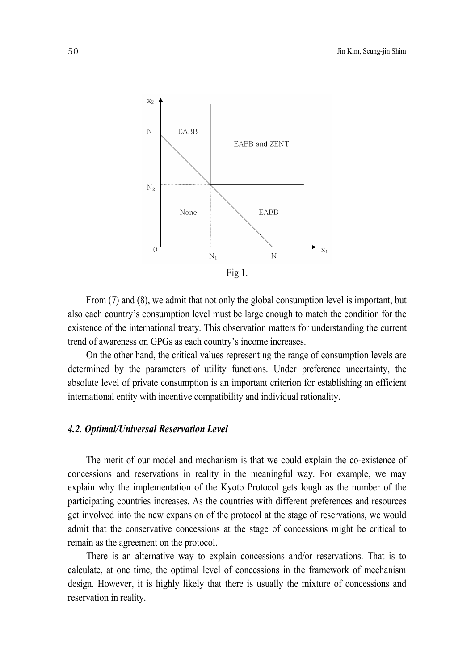

From (7) and (8), we admit that not only the global consumption level is important, but also each country's consumption level must be large enough to match the condition for the existence of the international treaty. This observation matters for understanding the current trend of awareness on GPGs as each country's income increases.

On the other hand, the critical values representing the range of consumption levels are determined by the parameters of utility functions. Under preference uncertainty, the absolute level of private consumption is an important criterion for establishing an efficient international entity with incentive compatibility and individual rationality.

## *4.2. Optimal/Universal Reservation Level*

The merit of our model and mechanism is that we could explain the co-existence of concessions and reservations in reality in the meaningful way. For example, we may explain why the implementation of the Kyoto Protocol gets lough as the number of the participating countries increases. As the countries with different preferences and resources get involved into the new expansion of the protocol at the stage of reservations, we would admit that the conservative concessions at the stage of concessions might be critical to remain as the agreement on the protocol.

There is an alternative way to explain concessions and/or reservations. That is to calculate, at one time, the optimal level of concessions in the framework of mechanism design. However, it is highly likely that there is usually the mixture of concessions and reservation in reality.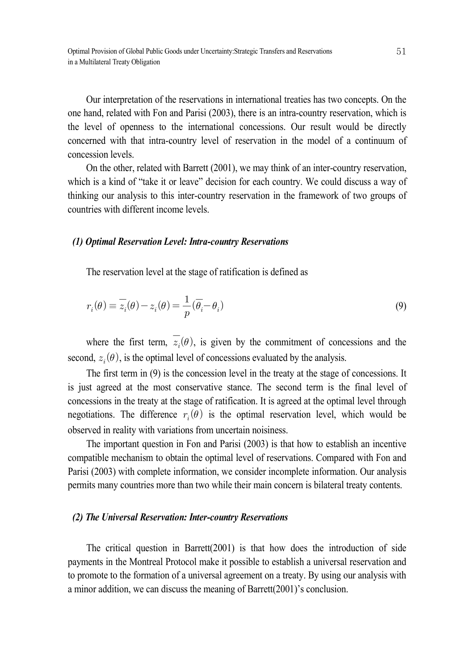Our interpretation of the reservations in international treaties has two concepts. On the one hand, related with Fon and Parisi (2003), there is an intra-country reservation, which is the level of openness to the international concessions. Our result would be directly concerned with that intra-country level of reservation in the model of a continuum of concession levels.

On the other, related with Barrett (2001), we may think of an inter-country reservation, which is a kind of "take it or leave" decision for each country. We could discuss a way of thinking our analysis to this inter-country reservation in the framework of two groups of countries with different income levels.

#### *(1) Optimal Reservation Level: Intra-country Reservations*

The reservation level at the stage of ratification is defined as

$$
r_i(\theta) \equiv \overline{z_i}(\theta) - z_i(\theta) = \frac{1}{p}(\overline{\theta}_i - \theta_i)
$$
\n(9)

where the first term,  $\overline{z_i}(\theta)$ , is given by the commitment of concessions and the second,  $z_i(\theta)$ , is the optimal level of concessions evaluated by the analysis.

The first term in (9) is the concession level in the treaty at the stage of concessions. It is just agreed at the most conservative stance. The second term is the final level of concessions in the treaty at the stage of ratification. It is agreed at the optimal level through negotiations. The difference  $r_i(\theta)$  is the optimal reservation level, which would be observed in reality with variations from uncertain noisiness.

The important question in Fon and Parisi (2003) is that how to establish an incentive compatible mechanism to obtain the optimal level of reservations. Compared with Fon and Parisi (2003) with complete information, we consider incomplete information. Our analysis permits many countries more than two while their main concern is bilateral treaty contents.

#### *(2) The Universal Reservation: Inter-country Reservations*

The critical question in Barrett(2001) is that how does the introduction of side payments in the Montreal Protocol make it possible to establish a universal reservation and to promote to the formation of a universal agreement on a treaty. By using our analysis with a minor addition, we can discuss the meaning of Barrett(2001)'s conclusion.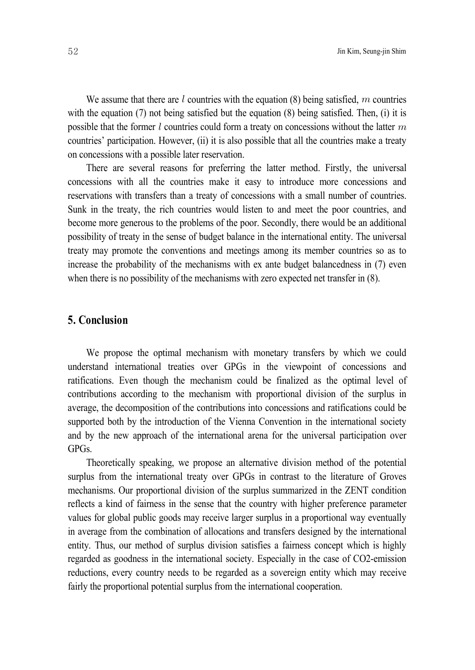We assume that there are  $l$  countries with the equation (8) being satisfied,  $m$  countries with the equation (7) not being satisfied but the equation (8) being satisfied. Then, (i) it is possible that the former  $l$  countries could form a treaty on concessions without the latter  $m$ countries' participation. However, (ii) it is also possible that all the countries make a treaty on concessions with a possible later reservation.

There are several reasons for preferring the latter method. Firstly, the universal concessions with all the countries make it easy to introduce more concessions and reservations with transfers than a treaty of concessions with a small number of countries. Sunk in the treaty, the rich countries would listen to and meet the poor countries, and become more generous to the problems of the poor. Secondly, there would be an additional possibility of treaty in the sense of budget balance in the international entity. The universal treaty may promote the conventions and meetings among its member countries so as to increase the probability of the mechanisms with ex ante budget balancedness in (7) even when there is no possibility of the mechanisms with zero expected net transfer in  $(8)$ .

## **5. Conclusion**

We propose the optimal mechanism with monetary transfers by which we could understand international treaties over GPGs in the viewpoint of concessions and ratifications. Even though the mechanism could be finalized as the optimal level of contributions according to the mechanism with proportional division of the surplus in average, the decomposition of the contributions into concessions and ratifications could be supported both by the introduction of the Vienna Convention in the international society and by the new approach of the international arena for the universal participation over GPGs.

Theoretically speaking, we propose an alternative division method of the potential surplus from the international treaty over GPGs in contrast to the literature of Groves mechanisms. Our proportional division of the surplus summarized in the ZENT condition reflects a kind of fairness in the sense that the country with higher preference parameter values for global public goods may receive larger surplus in a proportional way eventually in average from the combination of allocations and transfers designed by the international entity. Thus, our method of surplus division satisfies a fairness concept which is highly regarded as goodness in the international society. Especially in the case of CO2-emission reductions, every country needs to be regarded as a sovereign entity which may receive fairly the proportional potential surplus from the international cooperation.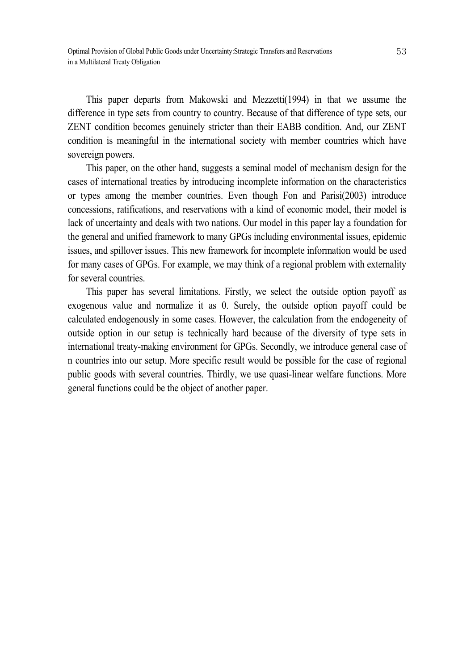This paper departs from Makowski and Mezzetti(1994) in that we assume the difference in type sets from country to country. Because of that difference of type sets, our ZENT condition becomes genuinely stricter than their EABB condition. And, our ZENT condition is meaningful in the international society with member countries which have sovereign powers.

This paper, on the other hand, suggests a seminal model of mechanism design for the cases of international treaties by introducing incomplete information on the characteristics or types among the member countries. Even though Fon and Parisi(2003) introduce concessions, ratifications, and reservations with a kind of economic model, their model is lack of uncertainty and deals with two nations. Our model in this paper lay a foundation for the general and unified framework to many GPGs including environmental issues, epidemic issues, and spillover issues. This new framework for incomplete information would be used for many cases of GPGs. For example, we may think of a regional problem with externality for several countries.

This paper has several limitations. Firstly, we select the outside option payoff as exogenous value and normalize it as 0. Surely, the outside option payoff could be calculated endogenously in some cases. However, the calculation from the endogeneity of outside option in our setup is technically hard because of the diversity of type sets in international treaty-making environment for GPGs. Secondly, we introduce general case of n countries into our setup. More specific result would be possible for the case of regional public goods with several countries. Thirdly, we use quasi-linear welfare functions. More general functions could be the object of another paper.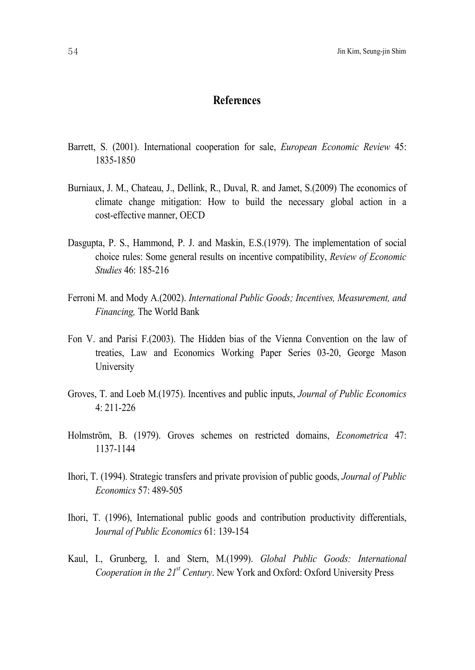## **References**

- Barrett, S. (2001). International cooperation for sale, *European Economic Review* 45: 1835-1850
- Burniaux, J. M., Chateau, J., Dellink, R., Duval, R. and Jamet, S.(2009) The economics of climate change mitigation: How to build the necessary global action in a cost-effective manner, OECD
- Dasgupta, P. S., Hammond, P. J. and Maskin, E.S.(1979). The implementation of social choice rules: Some general results on incentive compatibility, *Review of Economic Studies* 46: 185-216
- Ferroni M. and Mody A.(2002). *International Public Goods; Incentives, Measurement, and Financing,* The World Bank
- Fon V. and Parisi F.(2003). The Hidden bias of the Vienna Convention on the law of treaties, Law and Economics Working Paper Series 03-20, George Mason **University**
- Groves, T. and Loeb M.(1975). Incentives and public inputs, *Journal of Public Economics* 4: 211-226
- Holmström, B. (1979). Groves schemes on restricted domains, *Econometrica* 47: 1137-1144
- Ihori, T. (1994). Strategic transfers and private provision of public goods, *Journal of Public Economics* 57: 489-505
- Ihori, T. (1996), International public goods and contribution productivity differentials, J*ournal of Public Economics* 61: 139-154
- Kaul, I., Grunberg, I. and Stern, M.(1999). *Global Public Goods: International Cooperation in the 21 st Century*. New York and Oxford: Oxford University Press